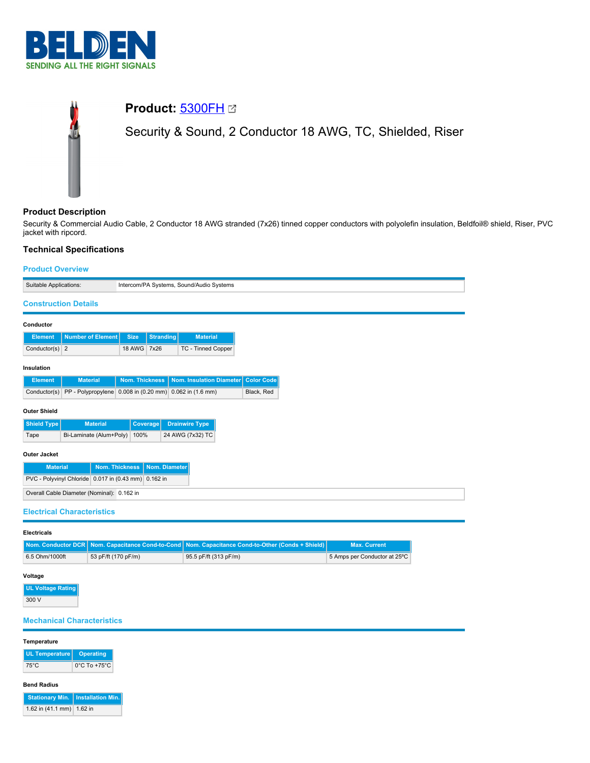

# **Product:** [5300FH](https://catalog.belden.com/index.cfm?event=pd&p=PF_5300FH&tab=downloads) Security & Sound, 2 Conductor 18 AWG, TC, Shielded, Riser

## **Product Description**

Security & Commercial Audio Cable, 2 Conductor 18 AWG stranded (7x26) tinned copper conductors with polyolefin insulation, Beldfoil® shield, Riser, PVC jacket with ripcord.

# **Technical Specifications**

## **Product Overview**

| Suitable Applications:                                         |                                 | Intercom/PA Systems, Sound/Audio Systems |                       |                                                         |                                                 |                     |  |
|----------------------------------------------------------------|---------------------------------|------------------------------------------|-----------------------|---------------------------------------------------------|-------------------------------------------------|---------------------|--|
| <b>Construction Details</b>                                    |                                 |                                          |                       |                                                         |                                                 |                     |  |
| Conductor                                                      |                                 |                                          |                       |                                                         |                                                 |                     |  |
| <b>Element</b>                                                 | <b>Number of Element</b>        | <b>Size</b>                              | <b>Stranding</b>      | <b>Material</b>                                         |                                                 |                     |  |
| Conductor(s) $2$                                               |                                 | 18 AWG 7x26                              |                       | TC - Tinned Copper                                      |                                                 |                     |  |
| Insulation                                                     |                                 |                                          |                       |                                                         |                                                 |                     |  |
| <b>Element</b>                                                 | <b>Material</b>                 |                                          | <b>Nom. Thickness</b> | Nom. Insulation Diameter                                | <b>Color Code</b>                               |                     |  |
| Conductor(s)                                                   |                                 |                                          |                       | PP - Polypropylene 0.008 in (0.20 mm) 0.062 in (1.6 mm) | Black, Red                                      |                     |  |
| <b>Outer Shield</b>                                            |                                 |                                          |                       |                                                         |                                                 |                     |  |
| <b>Shield Type</b>                                             | <b>Material</b>                 |                                          | Coverage              | <b>Drainwire Type</b>                                   |                                                 |                     |  |
| Tape                                                           | Bi-Laminate (Alum+Poly)<br>100% |                                          | 24 AWG (7x32) TC      |                                                         |                                                 |                     |  |
| <b>Outer Jacket</b>                                            |                                 |                                          |                       |                                                         |                                                 |                     |  |
| <b>Material</b>                                                |                                 | <b>Nom. Thickness</b>                    | Nom. Diameter         |                                                         |                                                 |                     |  |
| PVC - Polyvinyl Chloride 0.017 in (0.43 mm) 0.162 in           |                                 |                                          |                       |                                                         |                                                 |                     |  |
| Overall Cable Diameter (Nominal): 0.162 in                     |                                 |                                          |                       |                                                         |                                                 |                     |  |
|                                                                |                                 |                                          |                       |                                                         |                                                 |                     |  |
| <b>Electrical Characteristics</b>                              |                                 |                                          |                       |                                                         |                                                 |                     |  |
| <b>Electricals</b>                                             |                                 |                                          |                       |                                                         |                                                 |                     |  |
| <b>Nom. Conductor DCR</b>                                      |                                 | Nom. Capacitance Cond-to-Cond            |                       |                                                         | Nom. Capacitance Cond-to-Other (Conds + Shield) | <b>Max. Current</b> |  |
| 53 pF/ft (170 pF/m)<br>95.5 pF/ft (313 pF/m)<br>6.5 Ohm/1000ft |                                 |                                          |                       | 5 Amps per Conductor at 25°C                            |                                                 |                     |  |

## **Voltage**

| UL Voltage Rating |
|-------------------|
| 300 V             |

## **Mechanical Characteristics**

#### **Temperature**

| UL Temperature   Operating |                                   |
|----------------------------|-----------------------------------|
| 75°C                       | $0^{\circ}$ C To +75 $^{\circ}$ C |

## **Bend Radius**

|                                     | Stationary Min.   Installation Min. |
|-------------------------------------|-------------------------------------|
| 1.62 in $(41.1 \text{ mm})$ 1.62 in |                                     |